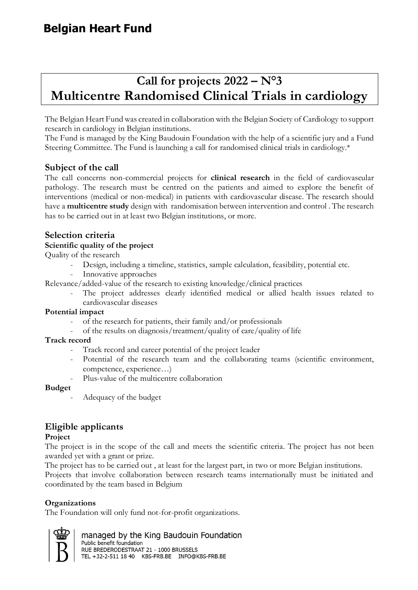# **Belgian Heart Fund**

# **Call for projects 2022 – N°3 Multicentre Randomised Clinical Trials in cardiology**

The Belgian Heart Fund was created in collaboration with the Belgian Society of Cardiology to support research in cardiology in Belgian institutions.

The Fund is managed by the King Baudouin Foundation with the help of a scientific jury and a Fund Steering Committee. The Fund is launching a call for randomised clinical trials in cardiology.\*

## **Subject of the call**

The call concerns non-commercial projects for **clinical research** in the field of cardiovascular pathology. The research must be centred on the patients and aimed to explore the benefit of interventions (medical or non-medical) in patients with cardiovascular disease. The research should have a **multicentre study** design with randomisation between intervention and control . The research has to be carried out in at least two Belgian institutions, or more.

## **Selection criteria**

#### **Scientific quality of the project**

Quality of the research

- Design, including a timeline, statistics, sample calculation, feasibility, potential etc.
- Innovative approaches

Relevance/added-value of the research to existing knowledge/clinical practices

The project addresses clearly identified medical or allied health issues related to cardiovascular diseases

#### **Potential impact**

- of the research for patients, their family and/or professionals
- of the results on diagnosis/treatment/quality of care/quality of life

#### **Track record**

- Track record and career potential of the project leader
- Potential of the research team and the collaborating teams (scientific environment, competence, experience…)
- Plus-value of the multicentre collaboration

#### **Budget**

- Adequacy of the budget

## **Eligible applicants**

#### **Project**

The project is in the scope of the call and meets the scientific criteria. The project has not been awarded yet with a grant or prize.

The project has to be carried out , at least for the largest part, in two or more Belgian institutions. Projects that involve collaboration between research teams internationally must be initiated and coordinated by the team based in Belgium

#### **Organizations**

The Foundation will only fund not-for-profit organizations.

managed by the King Baudouin Foundation Public benefit foundation RUE BREDERODESTRAAT 21 - 1000 BRUSSELS TEL +32-2-511 18 40 KBS-FRB.BE INFO@KBS-FRB.BE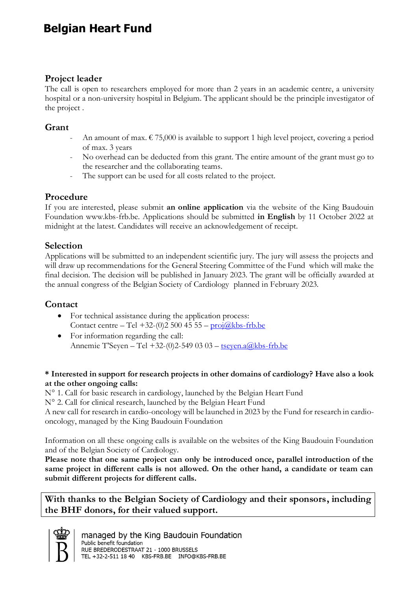# **Belgian Heart Fund**

## **Project leader**

The call is open to researchers employed for more than 2 years in an academic centre, a university hospital or a non-university hospital in Belgium. The applicant should be the principle investigator of the project .

#### **Grant**

- An amount of max.  $\epsilon$  75,000 is available to support 1 high level project, covering a period of max. 3 years
- No overhead can be deducted from this grant. The entire amount of the grant must go to the researcher and the collaborating teams.
- The support can be used for all costs related to the project.

### **Procedure**

If you are interested, please submit **an online application** via the website of the King Baudouin Foundation www.kbs-frb.be. Applications should be submitted **in English** by 11 October 2022 at midnight at the latest. Candidates will receive an acknowledgement of receipt.

## **Selection**

Applications will be submitted to an independent scientific jury. The jury will assess the projects and will draw up recommendations for the General Steering Committee of the Fund which will make the final decision. The decision will be published in January 2023. The grant will be officially awarded at the annual congress of the Belgian Society of Cardiology planned in February 2023.

## **Contact**

- For technical assistance during the application process: Contact centre – Tel +32-(0)2 500 45 55 –  $\frac{\text{proj}(a \text{kbs-frb.be})}{\text{proj}(a \text{kbs-frb.be})}$
- For information regarding the call: Annemie T'Seyen – Tel +32-(0)2-549 03 03 – [tseyen.a@kbs-frb.be](mailto:tseyen.a@kbs-frb.be)

#### **\* Interested in support for research projects in other domains of cardiology? Have also a look at the other ongoing calls:**

N° 1. Call for basic research in cardiology, launched by the Belgian Heart Fund

N° 2. Call for clinical research, launched by the Belgian Heart Fund

A new call for research in cardio-oncology will be launched in 2023 by the Fund for research in cardiooncology, managed by the King Baudouin Foundation

Information on all these ongoing calls is available on the websites of the King Baudouin Foundation and of the Belgian Society of Cardiology.

**Please note that one same project can only be introduced once, parallel introduction of the same project in different calls is not allowed. On the other hand, a candidate or team can submit different projects for different calls.**

**With thanks to the Belgian Society of Cardiology and their sponsors, including the BHF donors, for their valued support.**